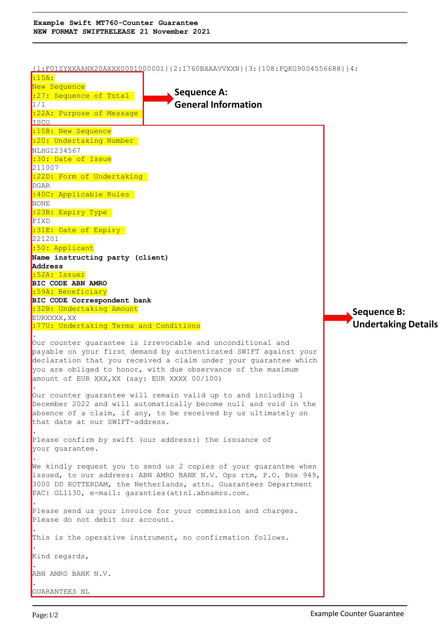{1:F01ZYXXAANX20AXXX0001000001}{2:I760BXAAVVXXN}{3:{108:FQKG9004556688}}4: :15A: New Sequence :27: Sequence of Total  $1/1$ :22A: Purpose of Message **ISCO** :15B: New Sequence :20: Undertaking Number NLHG1234567 :30: Date of Issue 211007 :22D: Form of Undertaking DGAR :40C: Applicable Rules NONE :23B: Expiry Type FIXD :31E: Date of Expiry 221201 :50: Applicant **Name instructing party (client) Address** :52A: Issuer **BIC CODE ABN AMRO** :59A: Beneficiary **BIC CODE Correspondent bank** :32B: Undertaking Amount EURXXXX, XX :77U: Undertaking Terms and Conditions . Our counter guarantee is irrevocable and unconditional and payable on your first demand by authenticated SWIFT against your declaration that you received a claim under your guarantee which you are obliged to honor, with due observance of the maximum amount of EUR XXX,XX (say: EUR XXXX 00/100) . Our counter guarantee will remain valid up to and including 1 December 2022 and will automatically become null and void in the absence of a claim, if any, to be received by us ultimately on that date at our SWIFT-address. . Please confirm by swift (our address:) the issuance of your guarantee. . We kindly request you to send us 2 copies of your quarantee when issued, to our address: ABN AMRO BANK N.V. Ops rtm, P.O. Box 949, 3000 DD ROTTERDAM, the Netherlands, attn. Guarantees Department PAC: GL1130, e-mail: garanties(at)nl.abnamro.com. . Please send us your invoice for your commission and charges. Please do not debit our account. . This is the operative instrument, no confirmation follows. . Kind regards, . ABN AMRO BANK N.V. . GUARANTEES NL **Sequence A: General Information Sequence B: Undertaking Details**